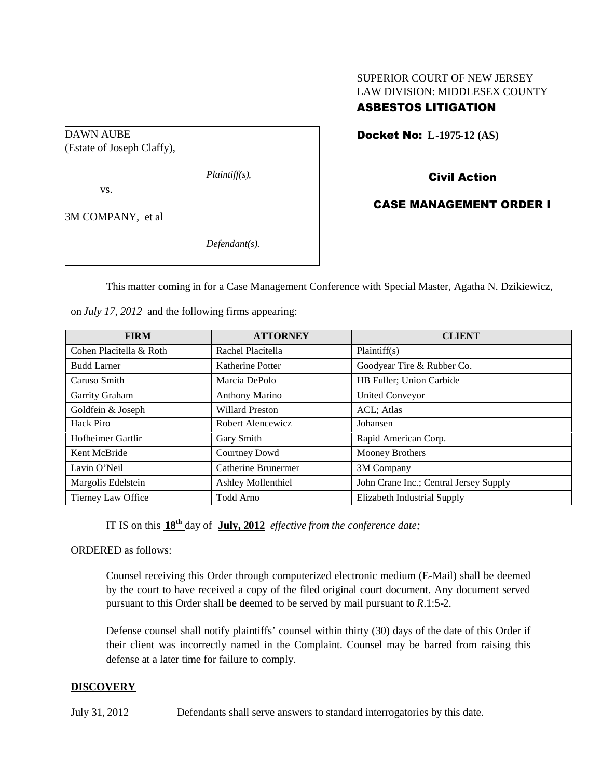## SUPERIOR COURT OF NEW JERSEY LAW DIVISION: MIDDLESEX COUNTY

# ASBESTOS LITIGATION

Docket No: **L-1975-12 (AS)**

(Estate of Joseph Claffy),

*Plaintiff(s),*

vs.

DAWN AUBE

3M COMPANY, et al

*Defendant(s).*

Civil Action

### CASE MANAGEMENT ORDER I

This matter coming in for a Case Management Conference with Special Master, Agatha N. Dzikiewicz,

|  |  |  |  | on <i>July 17, 2012</i> and the following firms appearing: |  |
|--|--|--|--|------------------------------------------------------------|--|
|--|--|--|--|------------------------------------------------------------|--|

| <b>FIRM</b>             | <b>ATTORNEY</b>           | <b>CLIENT</b>                          |
|-------------------------|---------------------------|----------------------------------------|
| Cohen Placitella & Roth | Rachel Placitella         | Plaintiff(s)                           |
| <b>Budd Larner</b>      | Katherine Potter          | Goodyear Tire & Rubber Co.             |
| Caruso Smith            | Marcia DePolo             | HB Fuller; Union Carbide               |
| Garrity Graham          | <b>Anthony Marino</b>     | <b>United Conveyor</b>                 |
| Goldfein & Joseph       | <b>Willard Preston</b>    | ACL; Atlas                             |
| Hack Piro               | Robert Alencewicz         | Johansen                               |
| Hofheimer Gartlir       | Gary Smith                | Rapid American Corp.                   |
| Kent McBride            | Courtney Dowd             | Mooney Brothers                        |
| Lavin O'Neil            | Catherine Brunermer       | 3M Company                             |
| Margolis Edelstein      | <b>Ashley Mollenthiel</b> | John Crane Inc.; Central Jersey Supply |
| Tierney Law Office      | Todd Arno                 | Elizabeth Industrial Supply            |

IT IS on this **18th** day of **July, 2012** *effective from the conference date;*

ORDERED as follows:

Counsel receiving this Order through computerized electronic medium (E-Mail) shall be deemed by the court to have received a copy of the filed original court document. Any document served pursuant to this Order shall be deemed to be served by mail pursuant to *R*.1:5-2.

Defense counsel shall notify plaintiffs' counsel within thirty (30) days of the date of this Order if their client was incorrectly named in the Complaint. Counsel may be barred from raising this defense at a later time for failure to comply.

### **DISCOVERY**

July 31, 2012 Defendants shall serve answers to standard interrogatories by this date.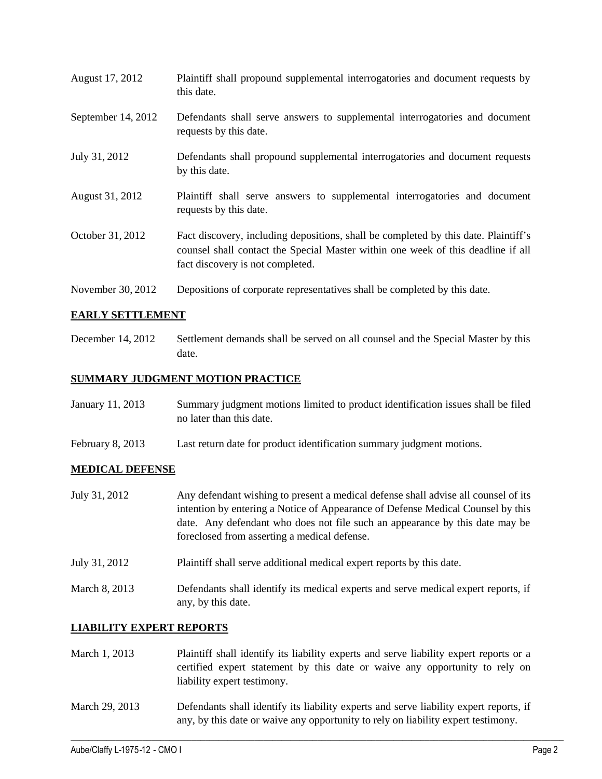- August 17, 2012 Plaintiff shall propound supplemental interrogatories and document requests by this date. September 14, 2012 Defendants shall serve answers to supplemental interrogatories and document requests by this date.
- July 31, 2012 Defendants shall propound supplemental interrogatories and document requests by this date.
- August 31, 2012 Plaintiff shall serve answers to supplemental interrogatories and document requests by this date.
- October 31, 2012 Fact discovery, including depositions, shall be completed by this date. Plaintiff's counsel shall contact the Special Master within one week of this deadline if all fact discovery is not completed.
- November 30, 2012 Depositions of corporate representatives shall be completed by this date.

### **EARLY SETTLEMENT**

December 14, 2012 Settlement demands shall be served on all counsel and the Special Master by this date.

#### **SUMMARY JUDGMENT MOTION PRACTICE**

| January 11, 2013 | Summary judgment motions limited to product identification issues shall be filed |
|------------------|----------------------------------------------------------------------------------|
|                  | no later than this date.                                                         |

February 8, 2013 Last return date for product identification summary judgment motions.

#### **MEDICAL DEFENSE**

- July 31, 2012 Any defendant wishing to present a medical defense shall advise all counsel of its intention by entering a Notice of Appearance of Defense Medical Counsel by this date. Any defendant who does not file such an appearance by this date may be foreclosed from asserting a medical defense.
- July 31, 2012 Plaintiff shall serve additional medical expert reports by this date.
- March 8, 2013 Defendants shall identify its medical experts and serve medical expert reports, if any, by this date.

### **LIABILITY EXPERT REPORTS**

- March 1, 2013 Plaintiff shall identify its liability experts and serve liability expert reports or a certified expert statement by this date or waive any opportunity to rely on liability expert testimony.
- March 29, 2013 Defendants shall identify its liability experts and serve liability expert reports, if any, by this date or waive any opportunity to rely on liability expert testimony.

 $\_$  ,  $\_$  ,  $\_$  ,  $\_$  ,  $\_$  ,  $\_$  ,  $\_$  ,  $\_$  ,  $\_$  ,  $\_$  ,  $\_$  ,  $\_$  ,  $\_$  ,  $\_$  ,  $\_$  ,  $\_$  ,  $\_$  ,  $\_$  ,  $\_$  ,  $\_$  ,  $\_$  ,  $\_$  ,  $\_$  ,  $\_$  ,  $\_$  ,  $\_$  ,  $\_$  ,  $\_$  ,  $\_$  ,  $\_$  ,  $\_$  ,  $\_$  ,  $\_$  ,  $\_$  ,  $\_$  ,  $\_$  ,  $\_$  ,